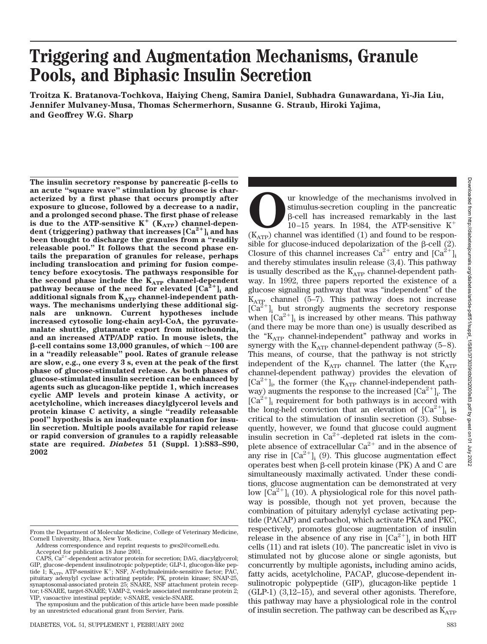# **Triggering and Augmentation Mechanisms, Granule Pools, and Biphasic Insulin Secretion**

**Troitza K. Bratanova-Tochkova, Haiying Cheng, Samira Daniel, Subhadra Gunawardana, Yi-Jia Liu, Jennifer Mulvaney-Musa, Thomas Schermerhorn, Susanne G. Straub, Hiroki Yajima, and Geoffrey W.G. Sharp**

The insulin secretory response by pancreatic  $\beta$ -cells to **an acute "square wave" stimulation by glucose is characterized by a first phase that occurs promptly after exposure to glucose, followed by a decrease to a nadir, and a prolonged second phase. The first phase of release** is due to the ATP-sensitive  $K^+$  ( $K_{ATP}$ ) channel-depen**dent (triggering) pathway that increases [Ca2**-**]i and has been thought to discharge the granules from a "readily releasable pool." It follows that the second phase entails the preparation of granules for release, perhaps including translocation and priming for fusion competency before exocytosis. The pathways responsible for** the second phase include the  $K_{ATP}$  channel-dependent pathway because of the need for elevated  $[Ca^{2+}]$ <sub>i</sub> and additional signals from K<sub>ATP</sub> channel-independent path**ways. The mechanisms underlying these additional signals are unknown. Current hypotheses include increased cytosolic long-chain acyl-CoA, the pyruvatemalate shuttle, glutamate export from mitochondria, and an increased ATP/ADP ratio. In mouse islets, the -cell contains some 13,000 granules, of which 100 are in a "readily releasable" pool. Rates of granule release are slow, e.g., one every 3 s, even at the peak of the first phase of glucose-stimulated release. As both phases of glucose-stimulated insulin secretion can be enhanced by agents such as glucagon-like peptide 1, which increases cyclic AMP levels and protein kinase A activity, or acetylcholine, which increases diacylglycerol levels and protein kinase C activity, a single "readily releasable pool" hypothesis is an inadequate explanation for insulin secretion. Multiple pools available for rapid release or rapid conversion of granules to a rapidly releasable state are required.** *Diabetes* **51 (Suppl. 1):S83–S90, 2002**

**OUR KNOW UP AND SECTED SECTED SECTION CONTROLLER SECTION SECTION SECTION 10-15 years. In 1984, the ATP-sensitive K<sup>+</sup> (K<sub>ATP</sub>) channel was identified (1) and found to be respon**stimulus-secretion coupling in the pancreatic --cell has increased remarkably in the last 10–15 years. In 1984, the ATP-sensitive  $K^+$ sible for glucose-induced depolarization of the  $\beta$ -cell (2). Closure of this channel increases  $Ca^{2+}$  entry and  $[Ca^{2+}]$ and thereby stimulates insulin release (3,4). This pathway is usually described as the  $K_{ATP}$  channel-dependent pathway. In 1992, three papers reported the existence of a glucose signaling pathway that was "independent" of the  $K_{ATP}$  channel (5–7). This pathway does not increase  $\lceil Ca^{2+} \rceil$ , but strongly augments the secretory response  $\vert$ ; but strongly augments the secretory response when  $\lbrack Ca^{2+}\rbrack_i$  is increased by other means. This pathway (and there may be more than one) is usually described as the " $K_{ATP}$  channel-independent" pathway and works in synergy with the  $K_{ATP}$  channel-dependent pathway (5–8). This means, of course, that the pathway is not strictly independent of the  $K_{ATP}$  channel. The latter (the  $K_{ATP}$ channel-dependent pathway) provides the elevation of  $[Ca^{2+}]_i$ , the former (the  $K_{ATP}$  channel-independent pathway) augments the response to the increased  $\lbrack Ca^{2+}\rbrack$ <sup>1</sup>. The  $[Ca^{2+}]$  requirement for both pathways is in accord with the long-held conviction that an elevation of  $[Ca^{2+}]$ , is critical to the stimulation of insulin secretion (3). Subsequently, however, we found that glucose could augment insulin secretion in  $Ca^{2+}$ -depleted rat islets in the complete absence of extracellular  $Ca^{2+}$  and in the absence of any rise in  $\lbrack Ca^{2+}\rbrack$  (9). This glucose augmentation effect operates best when  $\beta$ -cell protein kinase (PK) A and C are simultaneously maximally activated. Under these conditions, glucose augmentation can be demonstrated at very low  $\lbrack Ca^{2+}\rbrack_i$  (10). A physiological role for this novel pathway is possible, though not yet proven, because the combination of pituitary adenylyl cyclase activating peptide (PACAP) and carbachol, which activate PKA and PKC, respectively, promotes glucose augmentation of insulin release in the absence of any rise in  $[Ca^{2+}]$ , in both HIT cells (11) and rat islets (10). The pancreatic islet in vivo is stimulated not by glucose alone or single agonists, but concurrently by multiple agonists**,** including amino acids, fatty acids, acetylcholine, PACAP, glucose-dependent insulinotropic polypeptide (GIP), glucagon-like peptide 1 (GLP-1) (3,12–15), and several other agonists. Therefore, this pathway may have a physiological role in the control

of insulin secretion. The pathway can be described as  $K_{ATP}$ 

From the Department of Molecular Medicine, College of Veterinary Medicine, Cornell University, Ithaca, New York.

Address correspondence and reprint requests to gws2@cornell.edu.

Accepted for publication 18 June 2001.

CAPS,  $Ca^{2+}$ -dependent activator protein for secretion; DAG, diacylglycerol; GIP, glucose-dependent insulinotropic polypeptide; GLP-1, glucogon-like pep-<br>tide 1; K<sub>ATP</sub>, ATP-sensitive K<sup>+</sup>; NSF, *N*-ethylmaleimide-sensitive factor; PAC, pituitary adenylyl cyclase activating peptide; PK, protein kinase; SNAP-25, synaptosomal-associated protein 25; SNARE, NSF attachment protein receptor; t-SNARE, target-SNARE; VAMP-2, vesicle associated membrane protein 2; VIP, vasoactive intestinal peptide; v-SNARE, vesicle-SNARE.

The symposium and the publication of this article have been made possible by an unrestricted educational grant from Servier, Paris.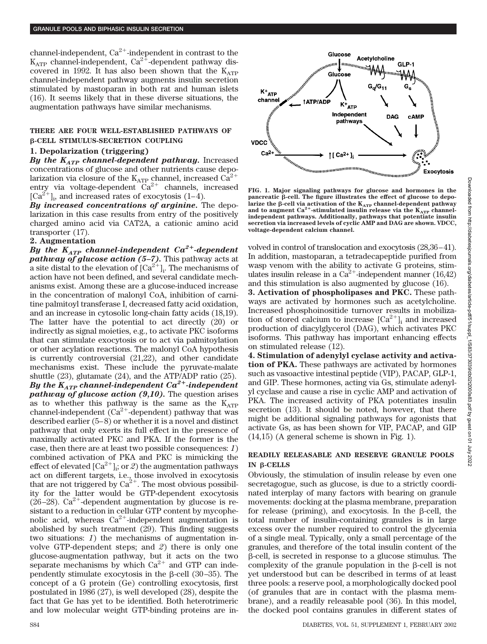channel-independent,  $Ca^{2+}$ -independent in contrast to the  $K_{\text{ATP}}$  channel-independent,  $Ca^{2+}$ -dependent pathway discovered in 1992. It has also been shown that the  $K_{ATP}$ channel-independent pathway augments insulin secretion stimulated by mastoparan in both rat and human islets (16). It seems likely that in these diverse situations, the augmentation pathways have similar mechanisms.

## **THERE ARE FOUR WELL-ESTABLISHED PATHWAYS OF -CELL STIMULUS-SECRETION COUPLING**

### **1. Depolarization (triggering)**

*By the KATP channel-dependent pathway.* Increased concentrations of glucose and other nutrients cause depolarization via closure of the  $K_{ATP}$  channel, increased  $Ca^{2+}$ entry via voltage-dependent  $Ca^{2+}$  channels, increased  $[Ca^{2+}]_i$ , and increased rates of exocytosis (1–4).

*By increased concentrations of arginine.* The depolarization in this case results from entry of the positively charged amino acid via CAT2A, a cationic amino acid transporter (17).

## **2. Augmentation**

*By the*  $K_{ATP}$  *channel-independent*  $Ca^{2+}$ *-dependent pathway of glucose action (5–7).* This pathway acts at a site distal to the elevation of  $[Ca^{2+}]_i$ . The mechanisms of action have not been defined, and several candidate mechanisms exist. Among these are a glucose-induced increase in the concentration of malonyl CoA, inhibition of carnitine palmitoyl transferase I, decreased fatty acid oxidation, and an increase in cytosolic long-chain fatty acids (18,19). The latter have the potential to act directly (20) or indirectly as signal moieties, e.g., to activate PKC isoforms that can stimulate exocytosis or to act via palmitoylation or other acylation reactions. The malonyl CoA hypothesis is currently controversial (21,22), and other candidate mechanisms exist. These include the pyruvate-malate shuttle (23), glutamate (24), and the ATP/ADP ratio (25). *By the KATP channel-independent Ca2*-*-independent pathway of glucose action (9,10).* The question arises as to whether this pathway is the same as the  $K_{ATP}$ channel-independent  $(Ca^{2+}-dependent)$  pathway that was described earlier (5–8) or whether it is a novel and distinct pathway that only exerts its full effect in the presence of maximally activated PKC and PKA. If the former is the case, then there are at least two possible consequences: *1*) combined activation of PKA and PKC is mimicking the effect of elevated  $\left[Ca^{2+}\right]_{i}$ ; or  $\mathcal{Z}$ ) the augmentation pathways act on different targets, i.e., those involved in exocytosis that are not triggered by  $Ca^{2+}$ . The most obvious possibility for the latter would be GTP-dependent exocytosis (26–28).  $Ca^{2+}$ -dependent augmentation by glucose is resistant to a reduction in cellular GTP content by mycophenolic acid, whereas  $Ca^{2+}$ -independent augmentation is abolished by such treatment (29). This finding suggests two situations: *1*) the mechanisms of augmentation involve GTP-dependent steps; and *2*) there is only one glucose-augmentation pathway, but it acts on the two separate mechanisms by which  $Ca^{2+}$  and GTP can independently stimulate exocytosis in the  $\beta$ -cell (30–35). The concept of a G protein (Ge) controlling exocytosis, first postulated in 1986 (27), is well developed (28), despite the fact that Ge has yet to be identified. Both heterotrimeric and low molecular weight GTP-binding proteins are in-



**FIG. 1. Major signaling pathways for glucose and hormones in the** pancreatic β-cell. The figure illustrates the effect of glucose to depolarize the β-cell via activation of the  $K_{ATP}$  channel-dependent pathway<br>and to augment Ca<sup>2+</sup>-stimulated insulin release via the  $K_{ATP}$  channel**independent pathways. Additionally, pathways that potentiate insulin secretion via increased levels of cyclic AMP and DAG are shown. VDCC, voltage-dependent calcium channel.**

volved in control of translocation and exocytosis (28,36–41). In addition, mastoparan, a tetradecapeptide purified from wasp venom with the ability to activate G proteins, stimulates insulin release in a Ca<sup>2+</sup>-independent manner (16,42) and this stimulation is also augmented by glucose (16).

**3. Activation of phospholipases and PKC.** These pathways are activated by hormones such as acetylcholine. Increased phosphoinositide turnover results in mobilization of stored calcium to increase  $[Ca^{2+}]$ , and increased production of diacylglycerol (DAG), which activates PKC isoforms. This pathway has important enhancing effects on stimulated release (12).

**4. Stimulation of adenylyl cyclase activity and activation of PKA.** These pathways are activated by hormones such as vasoactive intestinal peptide (VIP), PACAP, GLP-1, and GIP. These hormones, acting via Gs, stimulate adenylyl cyclase and cause a rise in cyclic AMP and activation of PKA. The increased activity of PKA potentiates insulin secretion (13). It should be noted, however, that there might be additional signaling pathways for agonists that activate Gs, as has been shown for VIP, PACAP, and GIP (14,15) (A general scheme is shown in Fig. 1).

# **READILY RELEASABLE AND RESERVE GRANULE POOLS IN β-CELLS**

Obviously, the stimulation of insulin release by even one secretagogue, such as glucose, is due to a strictly coordinated interplay of many factors with bearing on granule movements: docking at the plasma membrane, preparation for release (priming), and exocytosis. In the  $\beta$ -cell, the total number of insulin-containing granules is in large excess over the number required to control the glycemia of a single meal. Typically, only a small percentage of the granules, and therefore of the total insulin content of the --cell, is secreted in response to a glucose stimulus. The complexity of the granule population in the  $\beta$ -cell is not yet understood but can be described in terms of at least three pools: a reserve pool, a morphologically docked pool (of granules that are in contact with the plasma membrane), and a readily releasable pool (36). In this model, the docked pool contains granules in different states of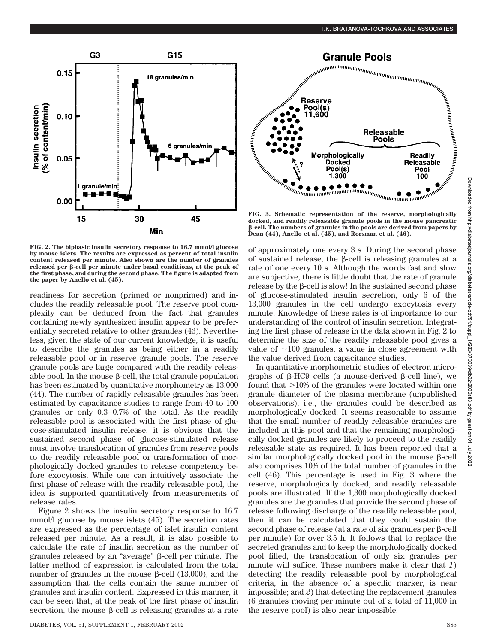

**FIG. 2. The biphasic insulin secretory response to 16.7 mmol/l glucose by mouse islets. The results are expressed as percent of total insulin content released per minute. Also shown are the number of granules** released per **B-cell** per minute under basal conditions, at the peak of **the first phase, and during the second phase. The figure is adapted from the paper by Anello et al. (45).**

readiness for secretion (primed or nonprimed) and includes the readily releasable pool. The reserve pool complexity can be deduced from the fact that granules containing newly synthesized insulin appear to be preferentially secreted relative to other granules (43). Nevertheless, given the state of our current knowledge, it is useful to describe the granules as being either in a readily releasable pool or in reserve granule pools. The reserve granule pools are large compared with the readily releasable pool. In the mouse  $\beta$ -cell, the total granule population has been estimated by quantitative morphometry as 13,000 (44). The number of rapidly releasable granules has been estimated by capacitance studies to range from 40 to 100 granules or only 0.3–0.7% of the total. As the readily releasable pool is associated with the first phase of glucose-stimulated insulin release, it is obvious that the sustained second phase of glucose-stimulated release must involve translocation of granules from reserve pools to the readily releasable pool or transformation of morphologically docked granules to release competency before exocytosis. While one can intuitively associate the first phase of release with the readily releasable pool, the idea is supported quantitatively from measurements of release rates.

Figure 2 shows the insulin secretory response to 16.7 mmol/l glucose by mouse islets (45). The secretion rates are expressed as the percentage of islet insulin content released per minute. As a result, it is also possible to calculate the rate of insulin secretion as the number of granules released by an "average" β-cell per minute. The latter method of expression is calculated from the total number of granules in the mouse  $\beta$ -cell (13,000), and the assumption that the cells contain the same number of granules and insulin content. Expressed in this manner, it can be seen that, at the peak of the first phase of insulin secretion, the mouse  $\beta$ -cell is releasing granules at a rate



**FIG. 3. Schematic representation of the reserve, morphologically docked, and readily releasable granule pools in the mouse pancreatic -cell. The numbers of granules in the pools are derived from papers by**

of approximately one every 3 s. During the second phase of sustained release, the  $\beta$ -cell is releasing granules at a rate of one every 10 s. Although the words fast and slow are subjective, there is little doubt that the rate of granule  $release$  by the  $\beta$ -cell is slow! In the sustained second phase of glucose-stimulated insulin secretion, only 6 of the 13,000 granules in the cell undergo exocytosis every minute. Knowledge of these rates is of importance to our understanding of the control of insulin secretion. Integrating the first phase of release in the data shown in Fig. 2 to determine the size of the readily releasable pool gives a value of  $\sim$ 100 granules, a value in close agreement with the value derived from capacitance studies.

In quantitative morphometric studies of electron micrographs of  $\beta$ -HC9 cells (a mouse-derived  $\beta$ -cell line), we found that  $>10\%$  of the granules were located within one granule diameter of the plasma membrane (unpublished observations), i.e., the granules could be described as morphologically docked. It seems reasonable to assume that the small number of readily releasable granules are included in this pool and that the remaining morphologically docked granules are likely to proceed to the readily releasable state as required. It has been reported that a  $s$ imilar morphologically docked pool in the mouse  $\beta$ -cell also comprises 10% of the total number of granules in the cell (46). This percentage is used in Fig. 3 where the reserve, morphologically docked, and readily releasable pools are illustrated. If the 1,300 morphologically docked granules are the granules that provide the second phase of release following discharge of the readily releasable pool, then it can be calculated that they could sustain the  $\rm{second\ phase\ of\ release\ (at\ a\ rate\ of\ six\ granules\ per\ \beta-cell}$ per minute) for over 3.5 h. It follows that to replace the secreted granules and to keep the morphologically docked pool filled, the translocation of only six granules per minute will suffice. These numbers make it clear that *1*) detecting the readily releasable pool by morphological criteria, in the absence of a specific marker, is near impossible; and *2*) that detecting the replacement granules (6 granules moving per minute out of a total of 11,000 in the reserve pool) is also near impossible.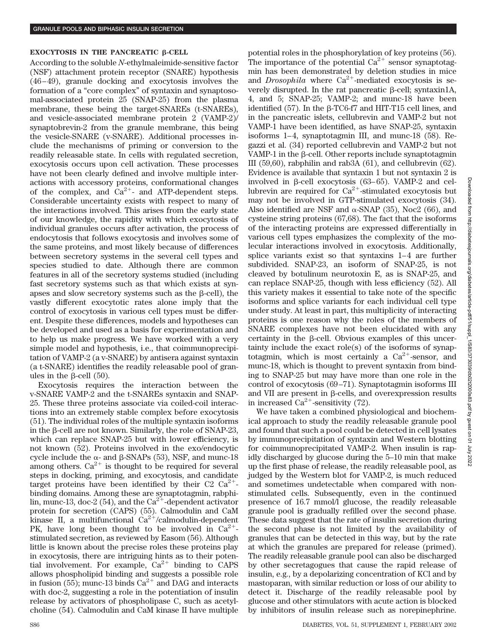# **EXOCYTOSIS IN THE PANCREATIC**  $\beta$ **-CELL**

According to the soluble *N*-ethylmaleimide-sensitive factor (NSF) attachment protein receptor (SNARE) hypothesis (46–49), granule docking and exocytosis involves the formation of a "core complex" of syntaxin and synaptosomal-associated protein 25 (SNAP-25) from the plasma membrane, these being the target-SNAREs (t-SNAREs), and vesicle-associated membrane protein 2 (VAMP-2)/ synaptobrevin-2 from the granule membrane, this being the vesicle-SNARE (v-SNARE). Additional processes include the mechanisms of priming or conversion to the readily releasable state. In cells with regulated secretion, exocytosis occurs upon cell activation. These processes have not been clearly defined and involve multiple interactions with accessory proteins, conformational changes of the complex, and  $Ca^{2+}$ - and ATP-dependent steps. Considerable uncertainty exists with respect to many of the interactions involved. This arises from the early state of our knowledge, the rapidity with which exocytosis of individual granules occurs after activation, the process of endocytosis that follows exocytosis and involves some of the same proteins, and most likely because of differences between secretory systems in the several cell types and species studied to date. Although there are common features in all of the secretory systems studied (including fast secretory systems such as that which exists at synapses and slow secretory systems such as the  $\beta$ -cell), the vastly different exocytotic rates alone imply that the control of exocytosis in various cell types must be different. Despite these differences, models and hypotheses can be developed and used as a basis for experimentation and to help us make progress. We have worked with a very simple model and hypothesis, i.e., that coimmunoprecipitation of VAMP-2 (a v-SNARE) by antisera against syntaxin (a t-SNARE) identifies the readily releasable pool of granules in the  $\beta$ -cell (50).

Exocytosis requires the interaction between the v-SNARE VAMP-2 and the t-SNAREs syntaxin and SNAP-25. These three proteins associate via coiled-coil interactions into an extremely stable complex before exocytosis (51). The individual roles of the multiple syntaxin isoforms in the  $\beta$ -cell are not known. Similarly, the role of SNAP-23, which can replace SNAP-25 but with lower efficiency, is not known (52). Proteins involved in the exo/endocytic cycle include the  $\alpha$ - and  $\beta$ -SNAPs (53), NSF, and munc-18 among others.  $Ca^{2+}$  is thought to be required for several steps in docking, priming, and exocytosis, and candidate target proteins have been identified by their C2  $Ca^{2+}$ binding domains. Among these are synaptotagmin, rabphilin, munc-13, doc-2 (54), and the  $Ca^{2+}$ -dependent activator protein for secretion (CAPS) (55). Calmodulin and CaM kinase II, a multifunctional  $Ca^{2+}/cal$ calmodulin-dependent PK, have long been thought to be involved in  $Ca^{2+}$ stimulated secretion, as reviewed by Easom (56). Although little is known about the precise roles these proteins play in exocytosis, there are intriguing hints as to their potential involvement. For example,  $Ca^{2+}$  binding to CAPS allows phospholipid binding and suggests a possible role in fusion (55); munc-13 binds  $Ca^{2+}$  and DAG and interacts with doc-2, suggesting a role in the potentiation of insulin release by activators of phospholipase C, such as acetylcholine (54). Calmodulin and CaM kinase II have multiple potential roles in the phosphorylation of key proteins (56). The importance of the potential  $Ca^{2+}$  sensor synaptotagmin has been demonstrated by deletion studies in mice and *Drosophila* where  $Ca^{2+}$ -mediated exocytosis is severely disrupted. In the rat pancreatic  $\beta$ -cell; syntaxin1A, 4, and 5; SNAP-25; VAMP-2; and munc-18 have been identified (57). In the  $\beta$ -TC6-f7 and HIT-T15 cell lines, and in the pancreatic islets, cellubrevin and VAMP-2 but not VAMP-1 have been identified, as have SNAP-25, syntaxin isoforms 1–4, synaptotagmin III, and munc-18 (58). Regazzi et al. (34) reported cellubrevin and VAMP-2 but not VAMP-1 in the  $\beta$ -cell. Other reports include synaptotagmin III (59,60), rabphilin and rab3A (61), and cellubrevin (62). Evidence is available that syntaxin 1 but not syntaxin 2 is involved in  $\beta$ -cell exocytosis (63–65). VAMP-2 and cellubrevin are required for  $Ca^{2+}$ -stimulated exocytosis but may not be involved in GTP-stimulated exocytosis (34). Also identified are NSF and  $\alpha$ -SNAP (35), Noc2 (66), and cysteine string proteins (67,68). The fact that the isoforms of the interacting proteins are expressed differentially in various cell types emphasizes the complexity of the molecular interactions involved in exocytosis. Additionally, splice variants exist so that syntaxins 1–4 are further subdivided. SNAP-23, an isoform of SNAP-25, is not cleaved by botulinum neurotoxin E, as is SNAP-25, and can replace SNAP-25, though with less efficiency (52). All this variety makes it essential to take note of the specific isoforms and splice variants for each individual cell type under study. At least in part, this multiplicity of interacting proteins is one reason why the roles of the members of SNARE complexes have not been elucidated with any certainty in the  $\beta$ -cell. Obvious examples of this uncertainty include the exact role(s) of the isoforms of synaptotagmin, which is most certainly a  $Ca^{2+}$ -sensor, and munc-18, which is thought to prevent syntaxin from binding to SNAP-25 but may have more than one role in the control of exocytosis (69–71). Synaptotagmin isoforms III and VII are present in  $\beta$ -cells, and overexpression results in increased  $Ca^{2+}$ -sensitivity (72).

We have taken a combined physiological and biochemical approach to study the readily releasable granule pool and found that such a pool could be detected in cell lysates by immunoprecipitation of syntaxin and Western blotting for coimmunoprecipitated VAMP-2. When insulin is rapidly discharged by glucose during the 5–10 min that make up the first phase of release, the readily releasable pool, as judged by the Western blot for VAMP-2, is much reduced and sometimes undetectable when compared with nonstimulated cells. Subsequently, even in the continued presence of 16.7 mmol/l glucose, the readily releasable granule pool is gradually refilled over the second phase. These data suggest that the rate of insulin secretion during the second phase is not limited by the availability of granules that can be detected in this way, but by the rate at which the granules are prepared for release (primed). The readily releasable granule pool can also be discharged by other secretagogues that cause the rapid release of insulin, e.g., by a depolarizing concentration of KCl and by mastoparan, with similar reduction or loss of our ability to detect it. Discharge of the readily releasable pool by glucose and other stimulators with acute action is blocked by inhibitors of insulin release such as norepinephrine.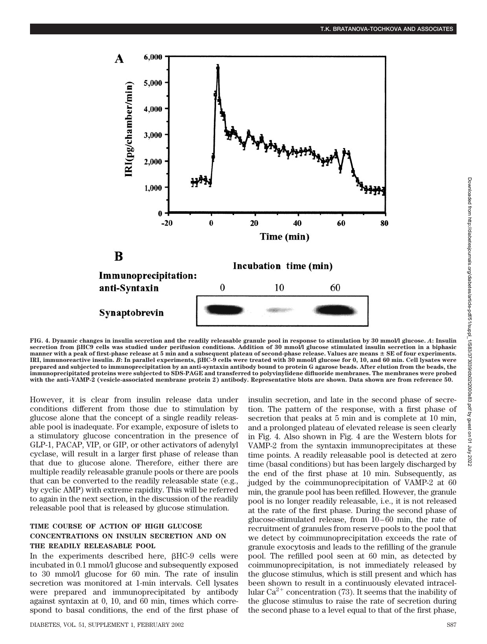

**FIG. 4. Dynamic changes in insulin secretion and the readily releasable granule pool in response to stimulation by 30 mmol/l glucose.** *A***: Insulin** secretion from  $\beta$ HC9 cells was studied under perifusion conditions. Addition of 30 mmol/l glucose stimulated insulin secretion in a biphasic **manner with a peak of first-phase release at 5 min and a subsequent plateau of second-phase release. Values are means SE of four experiments. IRI, immunoreactive insulin.** *B***: In parallel experiments, HC-9 cells were treated with 30 mmol/l glucose for 0, 10, and 60 min. Cell lysates were prepared and subjected to immunoprecipitation by an anti-syntaxin antibody bound to protein G agarose beads. After elution from the beads, the immunoprecipitated proteins were subjected to SDS-PAGE and transferred to polyvinylidene difluoride membranes. The membranes were probed with the anti–VAMP-2 (vesicle-associated membrane protein 2) antibody. Representative blots are shown. Data shown are from reference 50.**

However, it is clear from insulin release data under conditions different from those due to stimulation by glucose alone that the concept of a single readily releasable pool is inadequate. For example, exposure of islets to a stimulatory glucose concentration in the presence of GLP-1, PACAP, VIP, or GIP, or other activators of adenylyl cyclase, will result in a larger first phase of release than that due to glucose alone. Therefore, either there are multiple readily releasable granule pools or there are pools that can be converted to the readily releasable state (e.g., by cyclic AMP) with extreme rapidity. This will be referred to again in the next section, in the discussion of the readily releasable pool that is released by glucose stimulation.

# **TIME COURSE OF ACTION OF HIGH GLUCOSE CONCENTRATIONS ON INSULIN SECRETION AND ON THE READILY RELEASABLE POOL**

In the experiments described here,  $\beta$ HC-9 cells were incubated in 0.1 mmol/l glucose and subsequently exposed to 30 mmol/l glucose for 60 min. The rate of insulin secretion was monitored at 1-min intervals. Cell lysates were prepared and immunoprecipitated by antibody against syntaxin at 0, 10, and 60 min, times which correspond to basal conditions, the end of the first phase of

insulin secretion, and late in the second phase of secretion. The pattern of the response, with a first phase of secretion that peaks at 5 min and is complete at 10 min, and a prolonged plateau of elevated release is seen clearly in Fig. 4. Also shown in Fig. 4 are the Western blots for VAMP-2 from the syntaxin immunoprecipitates at these time points. A readily releasable pool is detected at zero time (basal conditions) but has been largely discharged by the end of the first phase at 10 min. Subsequently, as judged by the coimmunoprecipitation of VAMP-2 at 60 min, the granule pool has been refilled. However, the granule pool is no longer readily releasable, i.e., it is not released at the rate of the first phase. During the second phase of glucose-stimulated release, from 10–60 min, the rate of recruitment of granules from reserve pools to the pool that we detect by coimmunoprecipitation exceeds the rate of granule exocytosis and leads to the refilling of the granule pool. The refilled pool seen at 60 min, as detected by coimmunoprecipitation, is not immediately released by the glucose stimulus, which is still present and which has been shown to result in a continuously elevated intracellular  $Ca^{2+}$  concentration (73). It seems that the inability of the glucose stimulus to raise the rate of secretion during the second phase to a level equal to that of the first phase,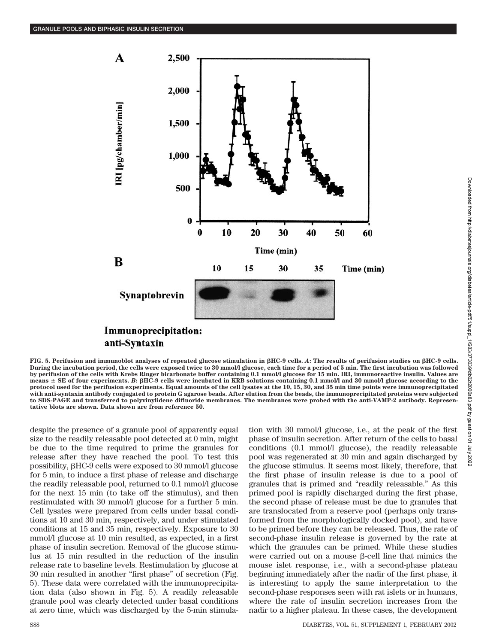

**FIG. 5. Perifusion and immunoblot analyses of repeated glucose stimulation in HC-9 cells.** *A***: The results of perifusion studies on HC-9 cells. During the incubation period, the cells were exposed twice to 30 mmol/l glucose, each time for a period of 5 min. The first incubation was followed by perifusion of the cells with Krebs Ringer bicarbonate buffer containing 0.1 mmol/l glucose for 15 min. IRI, immunoreactive insulin. Values are means SE of four experiments.** *B***: HC-9 cells were incubated in KRB solutions containing 0.1 mmol/l and 30 mmol/l glucose according to the protocol used for the perifusion experiments. Equal amounts of the cell lysates at the 10, 15, 30, and 35 min time points were immunoprecipitated with anti-syntaxin antibody conjugated to protein G agarose beads. After elution from the beads, the immunoprecipitated proteins were subjected to SDS-PAGE and transferred to polyvinylidene difluoride membranes. The membranes were probed with the anti-VAMP-2 antibody. Representative blots are shown. Data shown are from reference 50.**

despite the presence of a granule pool of apparently equal size to the readily releasable pool detected at 0 min, might be due to the time required to prime the granules for release after they have reached the pool. To test this possibility,  $\beta$ HC-9 cells were exposed to 30 mmol/l glucose for 5 min, to induce a first phase of release and discharge the readily releasable pool, returned to 0.1 mmol/l glucose for the next 15 min (to take off the stimulus), and then restimulated with 30 mmol/l glucose for a further 5 min. Cell lysates were prepared from cells under basal conditions at 10 and 30 min, respectively, and under stimulated conditions at 15 and 35 min, respectively. Exposure to 30 mmol/l glucose at 10 min resulted, as expected, in a first phase of insulin secretion. Removal of the glucose stimulus at 15 min resulted in the reduction of the insulin release rate to baseline levels. Restimulation by glucose at 30 min resulted in another "first phase" of secretion (Fig. 5). These data were correlated with the immunoprecipitation data (also shown in Fig. 5). A readily releasable granule pool was clearly detected under basal conditions at zero time, which was discharged by the 5-min stimulation with 30 mmol/l glucose, i.e., at the peak of the first phase of insulin secretion. After return of the cells to basal conditions (0.1 mmol/l glucose), the readily releasable pool was regenerated at 30 min and again discharged by the glucose stimulus. It seems most likely, therefore, that the first phase of insulin release is due to a pool of granules that is primed and "readily releasable." As this primed pool is rapidly discharged during the first phase, the second phase of release must be due to granules that are translocated from a reserve pool (perhaps only transformed from the morphologically docked pool), and have to be primed before they can be released. Thus, the rate of second-phase insulin release is governed by the rate at which the granules can be primed. While these studies were carried out on a mouse  $\beta$ -cell line that mimics the mouse islet response, i.e., with a second-phase plateau beginning immediately after the nadir of the first phase, it is interesting to apply the same interpretation to the second-phase responses seen with rat islets or in humans, where the rate of insulin secretion increases from the nadir to a higher plateau. In these cases, the development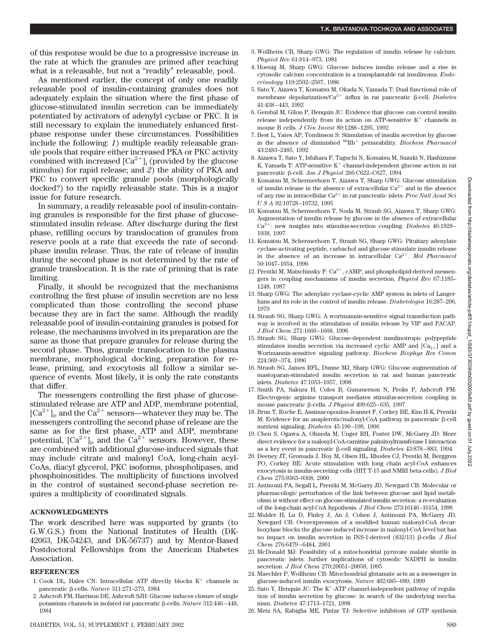of this response would be due to a progressive increase in the rate at which the granules are primed after reaching what is a releasable, but not a "readily" releasable, pool.

As mentioned earlier, the concept of only one readily releasable pool of insulin-containing granules does not adequately explain the situation where the first phase of glucose-stimulated insulin secretion can be immediately potentiated by activators of adenylyl cyclase or PKC. It is still necessary to explain the immediately enhanced firstphase response under these circumstances. Possibilities include the following: *1*) multiple readily releasable granule pools that require either increased PKA or PKC activity combined with increased  $[Ca^{2+}]$ ; (provided by the glucose stimulus) for rapid release; and *2*) the ability of PKA and PKC to convert specific granule pools (morphologically docked?) to the rapidly releasable state. This is a major issue for future research.

In summary, a readily releasable pool of insulin-containing granules is responsible for the first phase of glucosestimulated insulin release. After discharge during the first phase, refilling occurs by translocation of granules from reserve pools at a rate that exceeds the rate of secondphase insulin release. Thus, the rate of release of insulin during the second phase is not determined by the rate of granule translocation. It is the rate of priming that is rate limiting.

Finally, it should be recognized that the mechanisms controlling the first phase of insulin secretion are no less complicated than those controlling the second phase because they are in fact the same. Although the readily releasable pool of insulin-containing granules is poised for release, the mechanisms involved in its preparation are the same as those that prepare granules for release during the second phase. Thus, granule translocation to the plasma membrane, morphological docking, preparation for release, priming, and exocytosis all follow a similar sequence of events. Most likely, it is only the rate constants that differ.

The messengers controlling the first phase of glucosestimulated release are ATP and ADP, membrane potential,  $[Ca^{2+}]$ <sub>i</sub>, and the  $Ca^{2+}$  sensors—whatever they may be. The messengers controlling the second phase of release are the same as for the first phase, ATP and ADP, membrane potential,  $[Ca^{2+}]_i$ , and the  $Ca^{2+}$  sensors. However, these are combined with additional glucose-induced signals that may include citrate and malonyl CoA, long-chain acyl-CoAs, diacyl glycerol, PKC isoforms, phospholipases, and phosphoinositides. The multiplicity of functions involved in the control of sustained second-phase secretion requires a multiplicity of coordinated signals.

#### **ACKNOWLEDGMENTS**

The work described here was supported by grants (to G.W.G.S.) from the National Institutes of Health (DK-42063, DK-54243, and DK-56737) and by Mentor-Based Postdoctoral Fellowships from the American Diabetes Association.

#### **REFERENCES**

- 1. Cook DL, Hales CN: Intracellular ATP directly blocks  $K^+$  channels in pancreatic β-cells. *Nature* 311:271-273, 1984
- 2. Ashcroft FM, Harrison DE, Ashcroft SJH: Glucose induces closure of single potassium channels in isolated rat pancreatic β-cells. *Nature* 312:446-448, 1984
- DIABETES, VOL. 51, SUPPLEMENT 1, FEBRUARY 2002 S89
- 3. Wollheim CB, Sharp GWG: The regulation of insulin release by calcium. *Physiol Rev* 61:914–973, 1981
- 4. Hoenig M, Sharp GWG: Glucose induces insulin release and a rise in cytosolic calcium concentration in a transplantable rat insulinoma. *Endocrinology* 119:2502–2507, 1986
- 5. Sato Y, Aizawa T, Komatsu M, Okada N, Yamada T: Dual functional role of membrane depolarization/Ca<sup>2+</sup> influx in rat pancreatic β-cell. *Diabetes* 41:438–443, 1992
- 6. Gembal M, Gilon P, Henquin JC: Evidence that glucose can control insulin release independently from its action on ATP-sensitive  $K^+$  channels in mouse B cells. *J Clin Invest* 89:1288–1295, 1992
- 7. Best L, Yates AP, Tomlinson S: Stimulation of insulin secretion by glucose in the absence of diminished  ${}^{86}\text{Rb}^+$  permeability. *Biochem Pharmacol* 43:2483–2485, 1992
- 8. Aizawa T, Sato Y, Ishihara F, Taguchi N, Komatsu M, Suzuki N, Hashizume K, Yamada T: ATP-sensitive  $K^+$  channel-independent glucose action in rat pancreatic β-cell. *Am J Physiol* 266:C622–C627, 1994
- 9. Komatsu M, Schermerhorn T, Aizawa T, Sharp GWG: Glucose stimulation of insulin release in the absence of extracellular  $Ca^{2+}$  and in the absence of any rise in intracellular  ${\rm Ca^{2+}}$  in rat pancreatic islets.  $Proc$   $Natl$   $Acad$   $Sci$ *USA* 92:10728–10732, 1995
- 10. Komatsu M, Schermerhorn T, Noda M, Straub SG, Aizawa T, Sharp GWG: Augmentation of insulin release by glucose in the absence of extracellular Ca<sup>2+</sup>; new insights into stimulus-secretion coupling. *Diabetes* 46:1928– 1938, 1997
- 11. Komatsu M, Schermerhorn T, Straub SG, Sharp GWG: Pituitary adenylate cyclase-activating peptide, carbachol and glucose stimulate insulin release in the absence of an increase in intracellular Ca<sup>2+</sup>. Mol Pharmacol 50:1047–1054, 1996
- 12. Prentki M, Matschinsky F:  $Ca^{2+}$ , cAMP, and phospholipid-derived messengers in coupling mechanisms of insulin secretion. *Physiol Rev* 67:1185– 1248, 1987
- 13. Sharp GWG: The adenylate cyclase-cyclic AMP system in islets of Langerhans and its role in the control of insulin release. *Diabetologia* 16:287–296, 1979
- 14. Straub SG, Sharp GWG: A wortmannin-sensitive signal transduction pathway is involved in the stimulation of insulin release by VIP and PACAP. *J Biol Chem* 271:1660–1668, 1996
- 15. Straub SG, Sharp GWG: Glucose-dependent insulinotropic polypeptide stimulates insulin secretion via increased cyclic AMP and  $[Ca_{2+}]$  and a Wortmannin-sensitive signaling pathway. *Biochem Biophys Res Comm* 224:369–374, 1996
- 16. Straub SG, James RFL, Dunne MJ, Sharp GWG: Glucose augmentation of mastoparan-stimulated insulin secretion in rat and human pancreatic islets. *Diabetes* 47:1053–1057, 1998
- 17. Smith PA, Sakura H, Coles B, Gummerson N, Proks P, Ashcroft FM: Electrogenic arginine transport mediates stimulus-secretion coupling in mouse pancreatic β-cells. *J Physiol* 499:625-635, 1997
- 18. Brun T, Roche E, Assimacopoulos-Jeannet F, Corkey BE, Kim H-K, Prentki M: Evidence for an anaplerotic/malonyl-CoA pathway in pancreatic  $\beta$ -cell nutrient signaling. *Diabetes* 45:190–198, 1996
- 19. Chen S, Ogawa A, Ohneda M, Unger RH, Foster DW, McGarry JD: More direct evidence for a malonyl-CoA-carnitine palmitoyltransferase I interaction as a key event in pancreatic β-cell signaling. *Diabetes* 43:878–883, 1994
- 20. Deeney JT, Gromada J, Hoy M, Olsen HL, Rhodes CJ, Prentki M, Berggren PO, Corkey BE: Acute stimulation with long chain acyl-CoA enhances exocytosis in insulin-secreting cells (HIT T-15 and NMRI beta-cells). *J Biol Chem* 275:9363–9368, 2000
- 21. Antinozzi PA, Segall L, Prentki M, McGarry JD, Newgard CB: Molecular or pharmacologic perturbation of the link between glucose and lipid metabolism is without effect on glucose-stimulated insulin secretion: a re-evaluation of the long-chain acyl-CoA hypothesis. *J Biol Chem* 273:16146–16154, 1998
- 22. Mulder H, Lu D, Finley J, An J, Cohen J, Antinozzi PA, McGarry JD, Newgard CB: Overexpression of a modified human malonyl-CoA decarboxylase blocks the glucose-induced increase in malonyl-CoA level but has no impact on insulin secretion in INS-1-derived (832/13) β-cells. *J Biol Chem* 276:6479–6484, 2001
- 23. McDonald MJ: Feasibility of a mitochondrial pyruvate malate shuttle in pancreatic islets: further implications of cytosolic NADPH in insulin secretion. *J Biol Chem* 270:20051–20058, 1995
- 24. Maechler P, Wollheim CB: Mitochondrial glutamate acts as a messenger in glucose-induced insulin exocytosis. *Nature* 402:685–689, 1999
- 25. Sato Y, Henquin JC: The  $K^+$ -ATP channel-independent pathway of regulation of insulin secretion by glucose: in search of the underlying mechanism. *Diabetes* 47:1713–1721, 1998
- 26. Metz SA, Rabiglia ME, Pintar TJ: Selective inhibitors of GTP synthesis